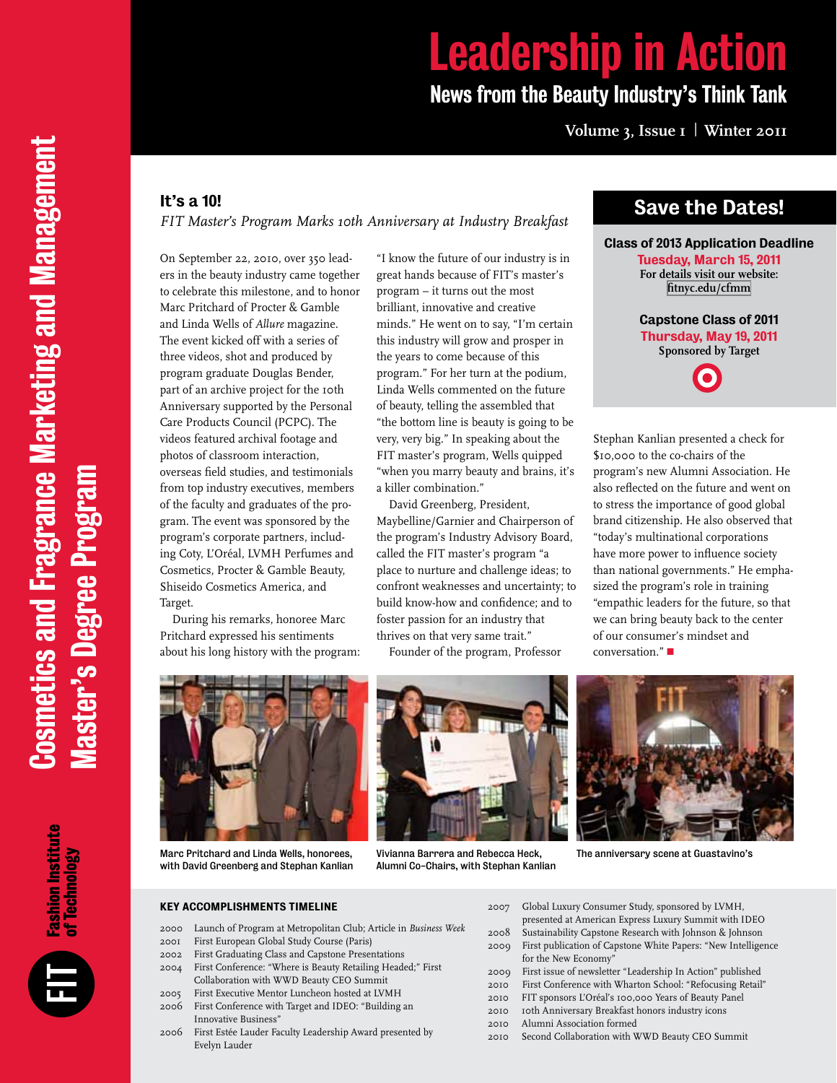# Leadership in Action News from the Beauty Industry's Think Tank

# **Volume 3, Issue 1 | Winter 2011 Volume 3, Issue 1 | Winter 2011**

#### It's a 10!

*FIT Master's Program Marks 10th Anniversary at Industry Breakfast* 

On September 22, 2010, over 350 leaders in the beauty industry came together to celebrate this milestone, and to honor Marc Pritchard of Procter & Gamble and Linda Wells of *Allure* magazine. The event kicked off with a series of three videos, shot and produced by program graduate Douglas Bender, part of an archive project for the 10th Anniversary supported by the Personal Care Products Council (PCPC). The videos featured archival footage and photos of classroom interaction, overseas field studies, and testimonials from top industry executives, members of the faculty and graduates of the program. The event was sponsored by the program's corporate partners, including Coty, L'Oréal, LVMH Perfumes and Cosmetics, Procter & Gamble Beauty, Shiseido Cosmetics America, and Target.

During his remarks, honoree Marc Pritchard expressed his sentiments about his long history with the program: "I know the future of our industry is in great hands because of FIT's master's program – it turns out the most brilliant, innovative and creative minds." He went on to say, "I'm certain this industry will grow and prosper in the years to come because of this program." For her turn at the podium, Linda Wells commented on the future of beauty, telling the assembled that "the bottom line is beauty is going to be very, very big." In speaking about the FIT master's program, Wells quipped "when you marry beauty and brains, it's a killer combination."

David Greenberg, President, Maybelline/Garnier and Chairperson of the program's Industry Advisory Board, called the FIT master's program "a place to nurture and challenge ideas; to confront weaknesses and uncertainty; to build know-how and confidence; and to foster passion for an industry that thrives on that very same trait."

Founder of the program, Professor

# Save the Dates!

#### Class of 2013 Application Deadline

Tuesday, March 15, 2011 **For details visit our website: [fitnyc.edu/cfmm](http://www.fitnyc.edu/cfmm)**

Capstone Class of 2011 Thursday, May 19, 2011 **Sponsored by Target**

Stephan Kanlian presented a check for \$10,000 to the co-chairs of the program's new Alumni Association. He also reflected on the future and went on to stress the importance of good global brand citizenship. He also observed that "today's multinational corporations have more power to influence society than national governments." He emphasized the program's role in training "empathic leaders for the future, so that we can bring beauty back to the center of our consumer's mindset and conversation." $\blacksquare$ 



Marc Pritchard and Linda Wells, honorees, with David Greenberg and Stephan Kanlian

#### Key Accomplishments Timeline

- 2000 Launch of Program at Metropolitan Club; Article in *Business Week*
- 2001 First European Global Study Course (Paris)
- 2002 First Graduating Class and Capstone Presentations
- 2004 First Conference: "Where is Beauty Retailing Headed;" First Collaboration with WWD Beauty CEO Summit 2005 First Executive Mentor Luncheon hosted at LVMH
- 2006 First Conference with Target and IDEO: "Building an Innovative Business"
- 2006 First Estée Lauder Faculty Leadership Award presented by Evelyn Lauder

Vivianna Barrera and Rebecca Heck, Alumni Co-Chairs, with Stephan Kanlian



The anniversary scene at Guastavino's

- 2007 Global Luxury Consumer Study, sponsored by LVMH,
	- presented at American Express Luxury Summit with IDEO
- 2008 Sustainability Capstone Research with Johnson & Johnson
- 2009 First publication of Capstone White Papers: "New Intelligence for the New Economy"
- 2009 First issue of newsletter "Leadership In Action" published
- 2010 First Conference with Wharton School: "Refocusing Retail"
- 2010 FIT sponsors L'Oréal's 100,000 Years of Beauty Panel
- 2010 10th Anniversary Breakfast honors industry icons
- 2010 Alumni Association formed
- 2010 Second Collaboration with WWD Beauty CEO Summit

**Fashion Institute<br>of Technology**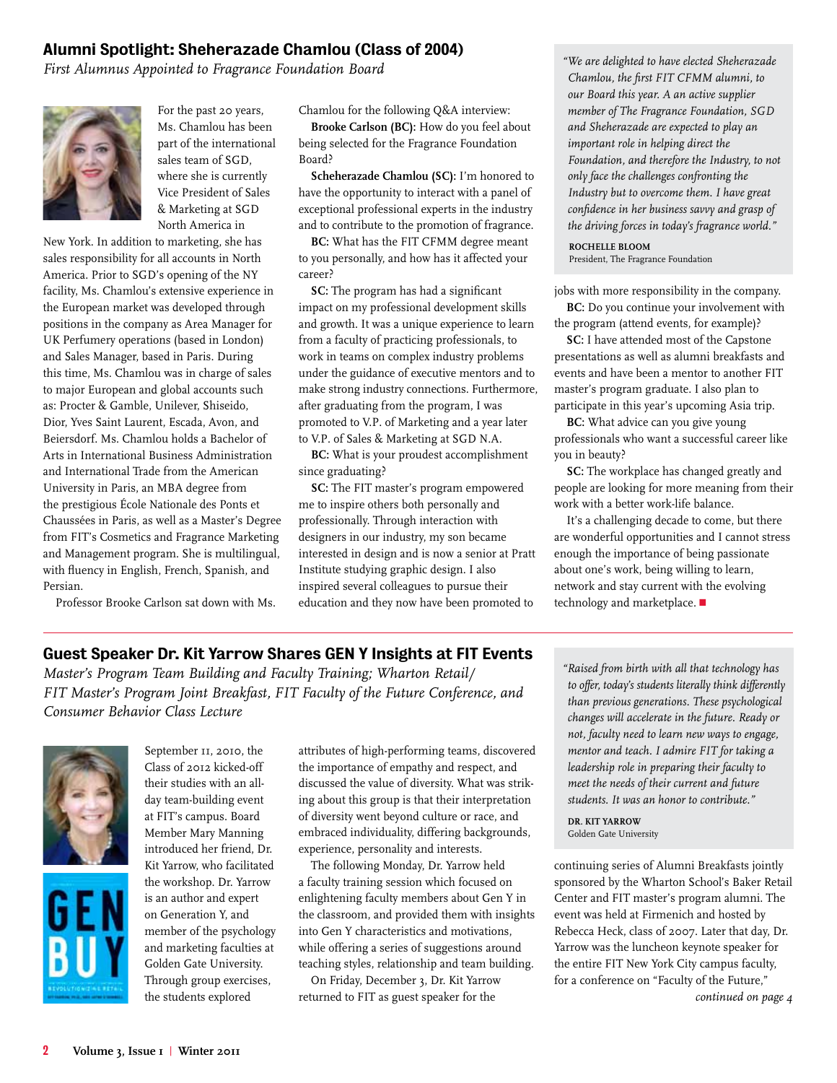#### Alumni Spotlight: Sheherazade Chamlou (Class of 2004)

*First Alumnus Appointed to Fragrance Foundation Board* 



For the past 20 years, Ms. Chamlou has been part of the international sales team of SGD, where she is currently Vice President of Sales & Marketing at SGD North America in

New York. In addition to marketing, she has sales responsibility for all accounts in North America. Prior to SGD's opening of the NY facility, Ms. Chamlou's extensive experience in the European market was developed through positions in the company as Area Manager for UK Perfumery operations (based in London) and Sales Manager, based in Paris. During this time, Ms. Chamlou was in charge of sales to major European and global accounts such as: Procter & Gamble, Unilever, Shiseido, Dior, Yves Saint Laurent, Escada, Avon, and Beiersdorf. Ms. Chamlou holds a Bachelor of Arts in International Business Administration and International Trade from the American University in Paris, an MBA degree from the prestigious École Nationale des Ponts et Chaussées in Paris, as well as a Master's Degree from FIT's Cosmetics and Fragrance Marketing and Management program. She is multilingual, with fluency in English, French, Spanish, and Persian.

Professor Brooke Carlson sat down with Ms.

Chamlou for the following Q&A interview:

**Brooke Carlson (BC):** How do you feel about being selected for the Fragrance Foundation Board?

**Scheherazade Chamlou (SC):** I'm honored to have the opportunity to interact with a panel of exceptional professional experts in the industry and to contribute to the promotion of fragrance.

**BC:** What has the FIT CFMM degree meant to you personally, and how has it affected your career?

**SC:** The program has had a significant impact on my professional development skills and growth. It was a unique experience to learn from a faculty of practicing professionals, to work in teams on complex industry problems under the guidance of executive mentors and to make strong industry connections. Furthermore, after graduating from the program, I was promoted to V.P. of Marketing and a year later to V.P. of Sales & Marketing at SGD N.A.

**BC:** What is your proudest accomplishment since graduating?

**SC:** The FIT master's program empowered me to inspire others both personally and professionally. Through interaction with designers in our industry, my son became interested in design and is now a senior at Pratt Institute studying graphic design. I also inspired several colleagues to pursue their education and they now have been promoted to

*"We are delighted to have elected Sheherazade Chamlou, the first FIT CFMM alumni, to our Board this year. A an active supplier member of The Fragrance Foundation, SGD and Sheherazade are expected to play an important role in helping direct the Foundation, and therefore the Industry, to not only face the challenges confronting the Industry but to overcome them. I have great confidence in her business savvy and grasp of the driving forces in today's fragrance world."* 

**Rochelle Bloom** President, The Fragrance Foundation

jobs with more responsibility in the company. **BC:** Do you continue your involvement with

the program (attend events, for example)?

**SC:** I have attended most of the Capstone presentations as well as alumni breakfasts and events and have been a mentor to another FIT master's program graduate. I also plan to participate in this year's upcoming Asia trip.

**BC:** What advice can you give young professionals who want a successful career like you in beauty?

**SC:** The workplace has changed greatly and people are looking for more meaning from their work with a better work-life balance.

It's a challenging decade to come, but there are wonderful opportunities and I cannot stress enough the importance of being passionate about one's work, being willing to learn, network and stay current with the evolving technology and marketplace.  $\blacksquare$ 

## Guest Speaker Dr. Kit Yarrow Shares GEN Y Insights at FIT Events

*Master's Program Team Building and Faculty Training; Wharton Retail/ FIT Master's Program Joint Breakfast, FIT Faculty of the Future Conference, and Consumer Behavior Class Lecture*





September II, 2010, the Class of 2012 kicked-off their studies with an allday team-building event at FIT's campus. Board Member Mary Manning introduced her friend, Dr. Kit Yarrow, who facilitated the workshop. Dr. Yarrow is an author and expert on Generation Y, and member of the psychology and marketing faculties at Golden Gate University. Through group exercises, the students explored

attributes of high-performing teams, discovered the importance of empathy and respect, and discussed the value of diversity. What was striking about this group is that their interpretation of diversity went beyond culture or race, and embraced individuality, differing backgrounds, experience, personality and interests.

The following Monday, Dr. Yarrow held a faculty training session which focused on enlightening faculty members about Gen Y in the classroom, and provided them with insights into Gen Y characteristics and motivations, while offering a series of suggestions around teaching styles, relationship and team building.

On Friday, December 3, Dr. Kit Yarrow returned to FIT as guest speaker for the

*"Raised from birth with all that technology has to offer, today's students literally think differently than previous generations. These psychological changes will accelerate in the future. Ready or not, faculty need to learn new ways to engage, mentor and teach. I admire FIT for taking a leadership role in preparing their faculty to meet the needs of their current and future students. It was an honor to contribute."*

**Dr. Kit Yarrow** Golden Gate University

continuing series of Alumni Breakfasts jointly sponsored by the Wharton School's Baker Retail Center and FIT master's program alumni. The event was held at Firmenich and hosted by Rebecca Heck, class of 2007. Later that day, Dr. Yarrow was the luncheon keynote speaker for the entire FIT New York City campus faculty, for a conference on "Faculty of the Future,"

*continued on page 4*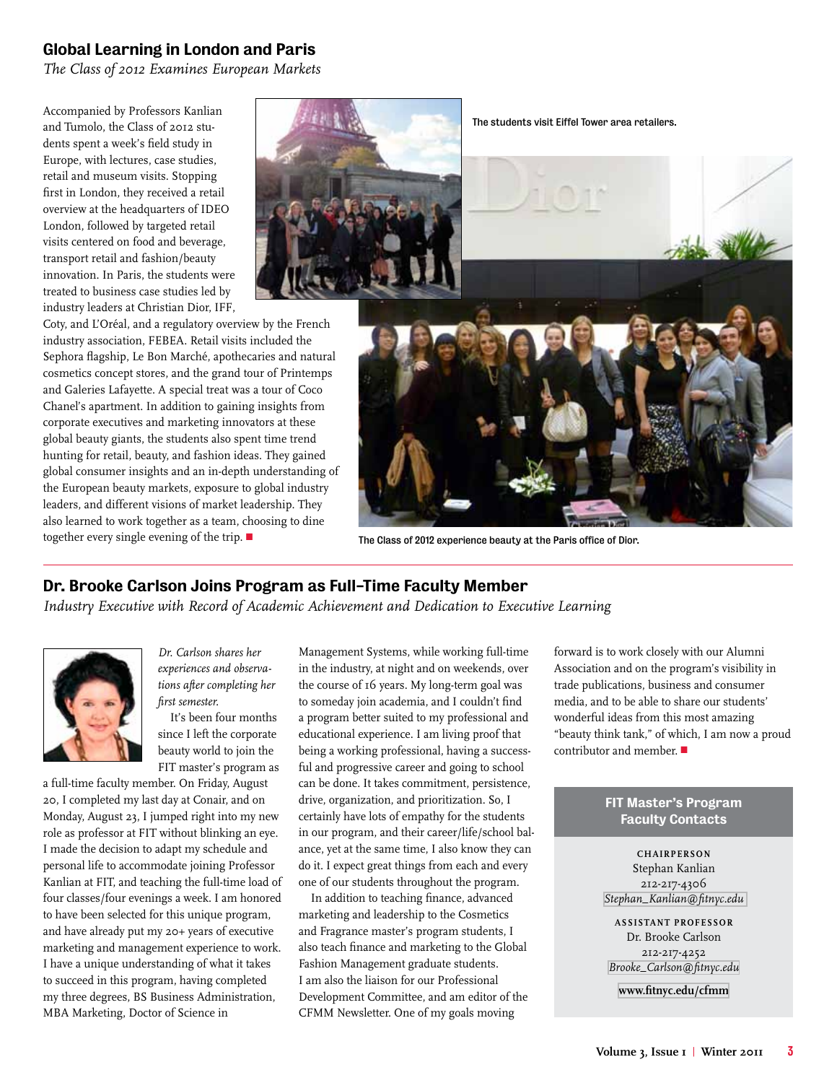#### Global Learning in London and Paris

*The Class of 2012 Examines European Markets*

Accompanied by Professors Kanlian and Tumolo, the Class of 2012 students spent a week's field study in Europe, with lectures, case studies, retail and museum visits. Stopping first in London, they received a retail overview at the headquarters of IDEO London, followed by targeted retail visits centered on food and beverage, transport retail and fashion/beauty innovation. In Paris, the students were treated to business case studies led by industry leaders at Christian Dior, IFF,



Coty, and L'Oréal, and a regulatory overview by the French industry association, FEBEA. Retail visits included the Sephora flagship, Le Bon Marché, apothecaries and natural cosmetics concept stores, and the grand tour of Printemps and Galeries Lafayette. A special treat was a tour of Coco Chanel's apartment. In addition to gaining insights from corporate executives and marketing innovators at these global beauty giants, the students also spent time trend hunting for retail, beauty, and fashion ideas. They gained global consumer insights and an in-depth understanding of the European beauty markets, exposure to global industry leaders, and different visions of market leadership. They also learned to work together as a team, choosing to dine together every single evening of the trip.  $\blacksquare$  The Class of 2012 experience beauty at the Paris office of Dior.

## Dr. Brooke Carlson Joins Program as Full-Time Faculty Member

*Industry Executive with Record of Academic Achievement and Dedication to Executive Learning*



*Dr. Carlson shares her experiences and observations after completing her first semester.*

It's been four months since I left the corporate beauty world to join the FIT master's program as

a full-time faculty member. On Friday, August 20, I completed my last day at Conair, and on Monday, August 23, I jumped right into my new role as professor at FIT without blinking an eye. I made the decision to adapt my schedule and personal life to accommodate joining Professor Kanlian at FIT, and teaching the full-time load of four classes/four evenings a week. I am honored to have been selected for this unique program, and have already put my 20+ years of executive marketing and management experience to work. I have a unique understanding of what it takes to succeed in this program, having completed my three degrees, BS Business Administration, MBA Marketing, Doctor of Science in

Management Systems, while working full-time in the industry, at night and on weekends, over the course of 16 years. My long-term goal was to someday join academia, and I couldn't find a program better suited to my professional and educational experience. I am living proof that being a working professional, having a successful and progressive career and going to school can be done. It takes commitment, persistence, drive, organization, and prioritization. So, I certainly have lots of empathy for the students in our program, and their career/life/school balance, yet at the same time, I also know they can do it. I expect great things from each and every one of our students throughout the program.

In addition to teaching finance, advanced marketing and leadership to the Cosmetics and Fragrance master's program students, I also teach finance and marketing to the Global Fashion Management graduate students. I am also the liaison for our Professional Development Committee, and am editor of the CFMM Newsletter. One of my goals moving

forward is to work closely with our Alumni Association and on the program's visibility in trade publications, business and consumer media, and to be able to share our students' wonderful ideas from this most amazing "beauty think tank," of which, I am now a proud contributor and member.  $\blacksquare$ 

#### FIT Master's Program Faculty Contacts

**Chairperson** Stephan Kanlian 212-217-4306 *[Stephan\\_Kanlian@fitnyc.edu](mailto:Stephan_Kanlian@fitnyc.edu )*

**assistant professor** Dr. Brooke Carlson 212-217-4252 *[Brooke\\_Carlson@fitnyc.edu](mailto:brooke_carlson@fitnyc.edu)*

**[www.fitnyc.edu/cfmm](http://www.fitnyc.edu/cfmm)**